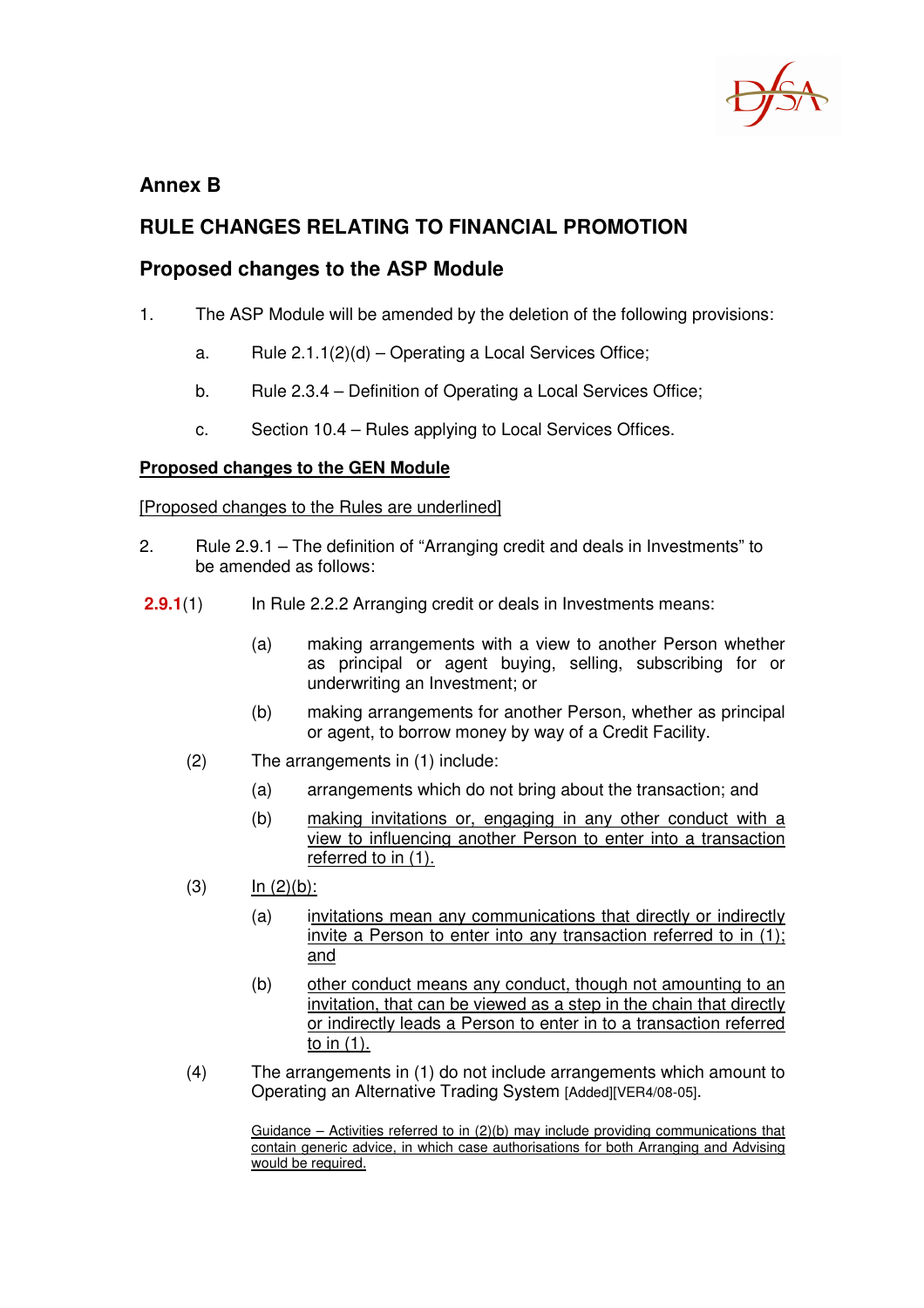

## **Annex B**

# **RULE CHANGES RELATING TO FINANCIAL PROMOTION**

## **Proposed changes to the ASP Module**

- 1. The ASP Module will be amended by the deletion of the following provisions:
	- a. Rule  $2.1.1(2)(d)$  Operating a Local Services Office;
	- b. Rule 2.3.4 Definition of Operating a Local Services Office;
	- c. Section 10.4 Rules applying to Local Services Offices.

### **Proposed changes to the GEN Module**

### [Proposed changes to the Rules are underlined]

- 2. Rule 2.9.1 The definition of "Arranging credit and deals in Investments" to be amended as follows:
- **2.9.1**(1) In Rule 2.2.2 Arranging credit or deals in Investments means:
	- (a) making arrangements with a view to another Person whether as principal or agent buying, selling, subscribing for or underwriting an Investment; or
	- (b) making arrangements for another Person, whether as principal or agent, to borrow money by way of a Credit Facility.
	- (2) The arrangements in (1) include:
		- (a) arrangements which do not bring about the transaction; and
		- (b) making invitations or, engaging in any other conduct with a view to influencing another Person to enter into a transaction referred to in (1).
	- $\ln (2)(b)$ :
		- (a) invitations mean any communications that directly or indirectly invite a Person to enter into any transaction referred to in (1); and
		- (b) other conduct means any conduct, though not amounting to an invitation, that can be viewed as a step in the chain that directly or indirectly leads a Person to enter in to a transaction referred to in (1).
	- (4) The arrangements in (1) do not include arrangements which amount to Operating an Alternative Trading System [Added][VER4/08-05].

Guidance – Activities referred to in (2)(b) may include providing communications that contain generic advice, in which case authorisations for both Arranging and Advising would be required.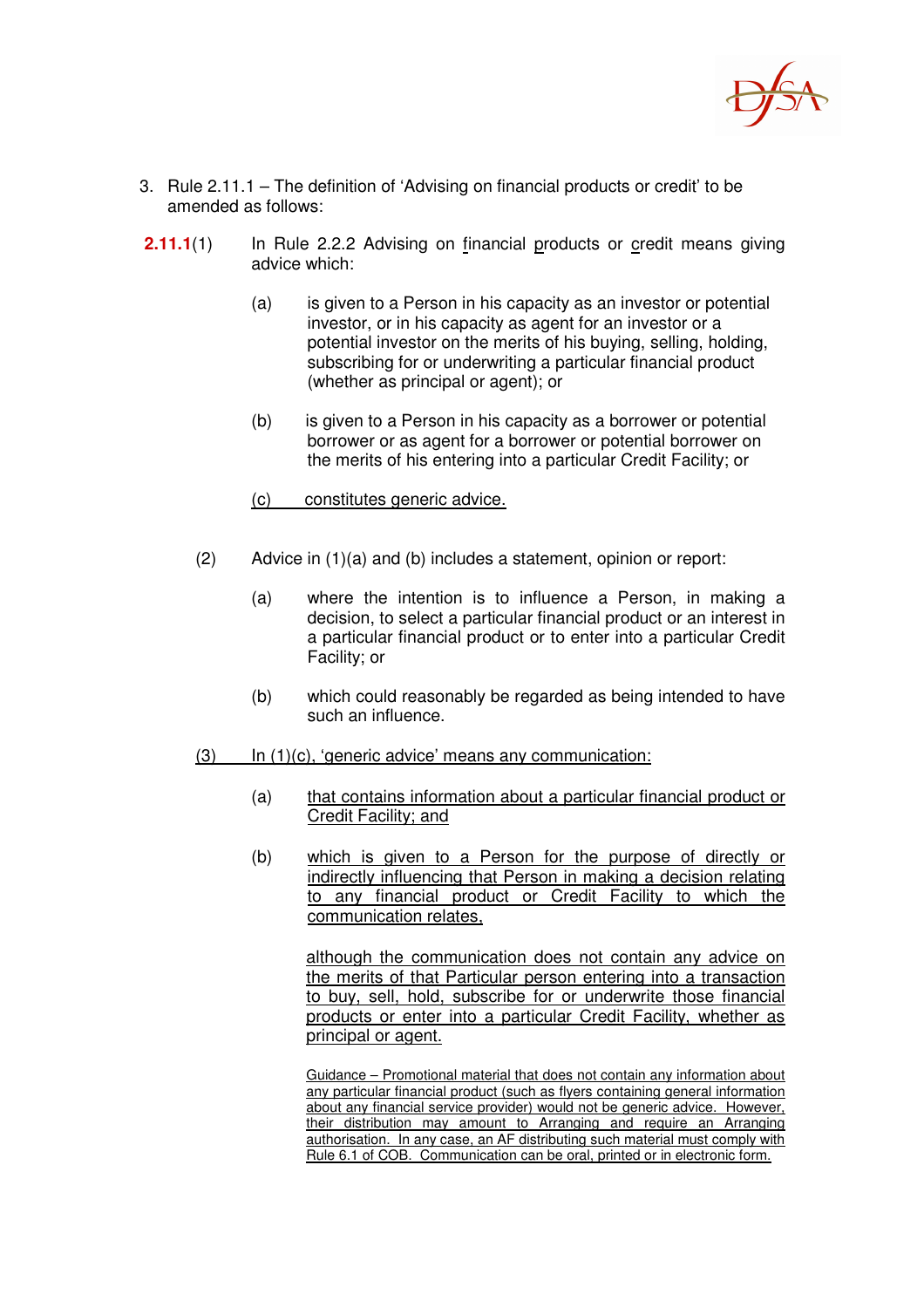

- 3. Rule 2.11.1 The definition of 'Advising on financial products or credit' to be amended as follows:
- **2.11.1**(1) In Rule 2.2.2 Advising on financial products or credit means giving advice which:
	- (a) is given to a Person in his capacity as an investor or potential investor, or in his capacity as agent for an investor or a potential investor on the merits of his buying, selling, holding, subscribing for or underwriting a particular financial product (whether as principal or agent); or
	- (b) is given to a Person in his capacity as a borrower or potential borrower or as agent for a borrower or potential borrower on the merits of his entering into a particular Credit Facility; or
	- (c) constitutes generic advice.
	- (2) Advice in (1)(a) and (b) includes a statement, opinion or report:
		- (a) where the intention is to influence a Person, in making a decision, to select a particular financial product or an interest in a particular financial product or to enter into a particular Credit Facility; or
		- (b) which could reasonably be regarded as being intended to have such an influence.
	- (3) In (1)(c), 'generic advice' means any communication:
		- (a) that contains information about a particular financial product or Credit Facility; and
		- (b) which is given to a Person for the purpose of directly or indirectly influencing that Person in making a decision relating to any financial product or Credit Facility to which the communication relates,

although the communication does not contain any advice on the merits of that Particular person entering into a transaction to buy, sell, hold, subscribe for or underwrite those financial products or enter into a particular Credit Facility, whether as principal or agent.

Guidance – Promotional material that does not contain any information about any particular financial product (such as flyers containing general information about any financial service provider) would not be generic advice. However, their distribution may amount to Arranging and require an Arranging authorisation. In any case, an AF distributing such material must comply with Rule 6.1 of COB. Communication can be oral, printed or in electronic form.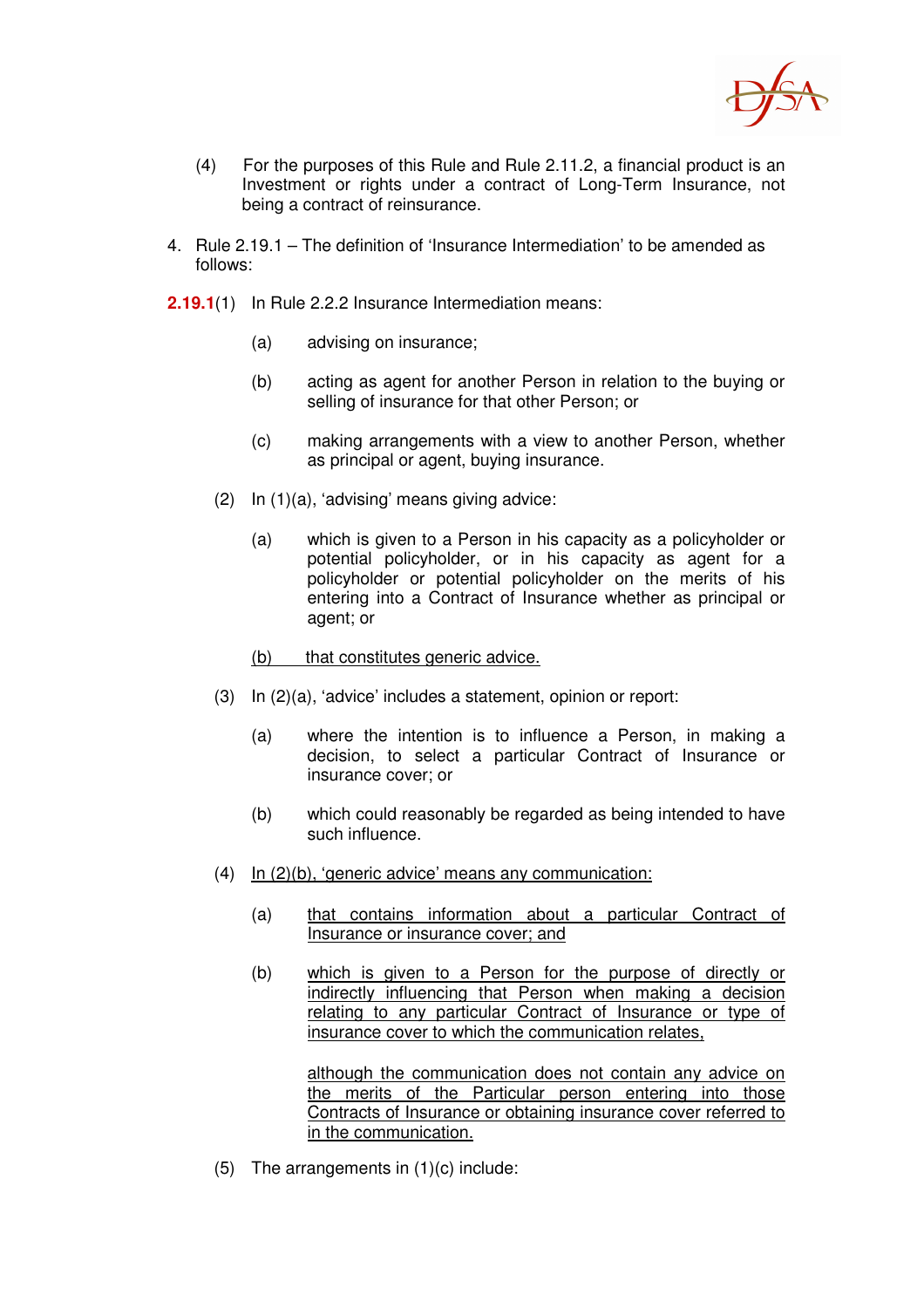

- (4) For the purposes of this Rule and Rule 2.11.2, a financial product is an Investment or rights under a contract of Long-Term Insurance, not being a contract of reinsurance.
- 4. Rule 2.19.1 The definition of 'Insurance Intermediation' to be amended as follows:
- **2.19.1**(1) In Rule 2.2.2 Insurance Intermediation means:
	- (a) advising on insurance;
	- (b) acting as agent for another Person in relation to the buying or selling of insurance for that other Person; or
	- (c) making arrangements with a view to another Person, whether as principal or agent, buying insurance.
	- (2) In (1)(a), 'advising' means giving advice:
		- (a) which is given to a Person in his capacity as a policyholder or potential policyholder, or in his capacity as agent for a policyholder or potential policyholder on the merits of his entering into a Contract of Insurance whether as principal or agent; or
		- (b) that constitutes generic advice.
	- (3) In (2)(a), 'advice' includes a statement, opinion or report:
		- (a) where the intention is to influence a Person, in making a decision, to select a particular Contract of Insurance or insurance cover; or
		- (b) which could reasonably be regarded as being intended to have such influence.
	- (4) In (2)(b), 'generic advice' means any communication:
		- (a) that contains information about a particular Contract of Insurance or insurance cover; and
		- (b) which is given to a Person for the purpose of directly or indirectly influencing that Person when making a decision relating to any particular Contract of Insurance or type of insurance cover to which the communication relates,

although the communication does not contain any advice on the merits of the Particular person entering into those Contracts of Insurance or obtaining insurance cover referred to in the communication.

(5) The arrangements in (1)(c) include: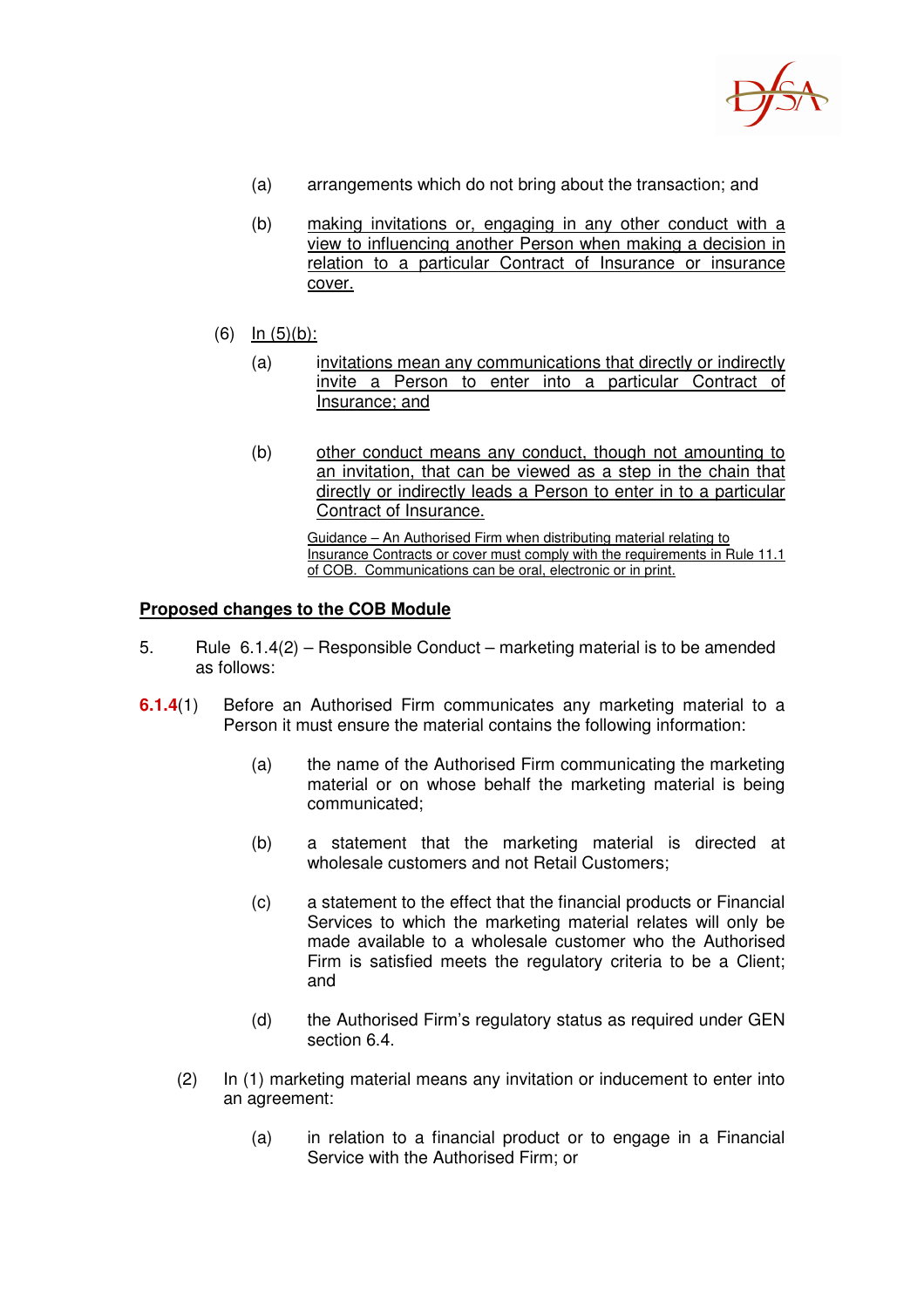

- (a) arrangements which do not bring about the transaction; and
- (b) making invitations or, engaging in any other conduct with a view to influencing another Person when making a decision in relation to a particular Contract of Insurance or insurance cover.
- (6) In (5)(b):
	- (a) invitations mean any communications that directly or indirectly invite a Person to enter into a particular Contract Insurance; and
	- (b) other conduct means any conduct, though not amounting to an invitation, that can be viewed as a step in the chain that directly or indirectly leads a Person to enter in to a particular Contract of Insurance.

Guidance – An Authorised Firm when distributing material relating to Insurance Contracts or cover must comply with the requirements in Rule 11.1 of COB. Communications can be oral, electronic or in print.

### **Proposed changes to the COB Module**

- 5. Rule 6.1.4(2) Responsible Conduct marketing material is to be amended as follows:
- **6.1.4**(1) Before an Authorised Firm communicates any marketing material to a Person it must ensure the material contains the following information:
	- (a) the name of the Authorised Firm communicating the marketing material or on whose behalf the marketing material is being communicated;
	- (b) a statement that the marketing material is directed at wholesale customers and not Retail Customers;
	- (c) a statement to the effect that the financial products or Financial Services to which the marketing material relates will only be made available to a wholesale customer who the Authorised Firm is satisfied meets the regulatory criteria to be a Client; and
	- (d) the Authorised Firm's regulatory status as required under GEN section 6.4.
	- (2) In (1) marketing material means any invitation or inducement to enter into an agreement:
		- (a) in relation to a financial product or to engage in a Financial Service with the Authorised Firm; or